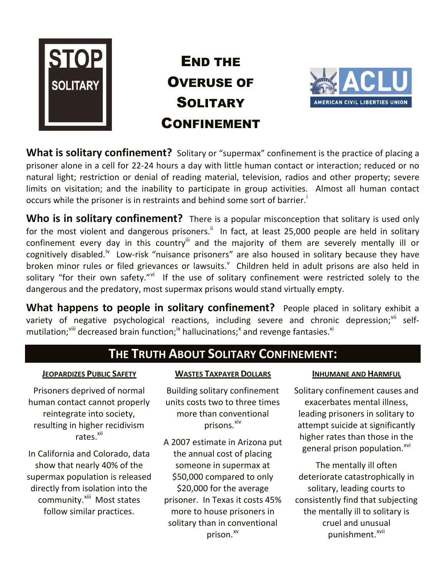

**END THE OVERUSE OF SOLITARY CONFINEMENT**



**What is solitary confinement?** Solitary or "supermax" confinement is the practice of placing a prisoner alone in a cell for 22-24 hours a day with little human contact or interaction; reduced or no natural light; restriction or denial of reading material, television, radios and other property; severe limits on visitation; and the inability to participate in group activities. Almost all human contact occurs while the prisoner is in restraints and behind some sort of barrier.

**Who is in solitary confinement?** There is a popular misconception that solitary is used only for the most violent and dangerous prisoners.<sup>ii</sup> In fact, at least 25,000 people are held in solitary confinement every day in this country<sup>ii</sup> and the majority of them are severely mentally ill or cognitively disabled.<sup>iv</sup> Low-risk "nuisance prisoners" are also housed in solitary because they have broken minor rules or filed grievances or lawsuits.<sup>v</sup> Children held in adult prisons are also held in solitary "for their own safety."<sup>vi</sup> If the use of solitary confinement were restricted solely to the dangerous and the predatory, most supermax prisons would stand virtually empty.

**What happens to people in solitary confinement?** People placed in solitary exhibit a variety of negative psychological reactions, including severe and chronic depression;<sup>vii</sup> selfmutilation;  $\ddot{ }$  decreased brain function;  $\ddot{ }$  hallucinations;  $\ddot{ }$  and revenge fantasies.  $\dot{ }$ 

# **THE TRUTH ABOUT SOLITARY CONFINEMENT:**

### **JEOPARDIZES PUBLIC SAFETY**

Prisoners deprived of normal human contact cannot properly reintegrate into society, resulting in higher recidivism rates.<sup>xii</sup>

In California and Colorado, data show that nearly 40% of the supermax population is released directly from isolation into the community.<sup>xiii</sup> Most states follow similar practices.

### **WASTES TAXPAYER DOLLARS**

Building solitary confinement units costs two to three times more than conventional prisons.<sup>xiv</sup>

A 2007 estimate in Arizona put the annual cost of placing someone in supermax at \$50,000 compared to only \$20,000 for the average prisoner. In Texas it costs 45% more to house prisoners in solitary than in conventional prison.<sup>xv</sup>

#### **INHUMANE AND HARMFUL**

Solitary confinement causes and exacerbates mental illness, leading prisoners in solitary to attempt suicide at significantly higher rates than those in the general prison population.<sup>xvi</sup>

The mentally ill often deteriorate catastrophically in solitary, leading courts to consistently find that subjecting the mentally ill to solitary is cruel and unusual punishment.<sup>xvii</sup>